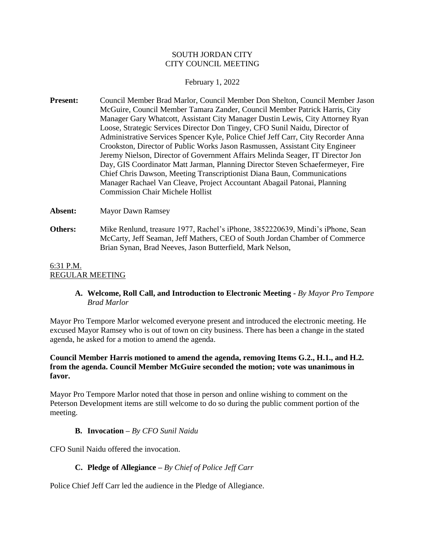### SOUTH JORDAN CITY CITY COUNCIL MEETING

#### February 1, 2022

**Present:** Council Member Brad Marlor, Council Member Don Shelton, Council Member Jason McGuire, Council Member Tamara Zander, Council Member Patrick Harris, City Manager Gary Whatcott, Assistant City Manager Dustin Lewis, City Attorney Ryan Loose, Strategic Services Director Don Tingey, CFO Sunil Naidu, Director of Administrative Services Spencer Kyle, Police Chief Jeff Carr, City Recorder Anna Crookston, Director of Public Works Jason Rasmussen, Assistant City Engineer Jeremy Nielson, Director of Government Affairs Melinda Seager, IT Director Jon Day, GIS Coordinator Matt Jarman, Planning Director Steven Schaefermeyer, Fire Chief Chris Dawson, Meeting Transcriptionist Diana Baun, Communications Manager Rachael Van Cleave, Project Accountant Abagail Patonai, Planning Commission Chair Michele Hollist

**Absent:** Mayor Dawn Ramsey

**Others:** Mike Renlund, treasure 1977, Rachel's iPhone, 3852220639, Mindi's iPhone, Sean McCarty, Jeff Seaman, Jeff Mathers, CEO of South Jordan Chamber of Commerce Brian Synan, Brad Neeves, Jason Butterfield, Mark Nelson,

#### 6:31 P.M. REGULAR MEETING

# **A. Welcome, Roll Call, and Introduction to Electronic Meeting -** *By Mayor Pro Tempore Brad Marlor*

Mayor Pro Tempore Marlor welcomed everyone present and introduced the electronic meeting. He excused Mayor Ramsey who is out of town on city business. There has been a change in the stated agenda, he asked for a motion to amend the agenda.

# **Council Member Harris motioned to amend the agenda, removing Items G.2., H.1., and H.2. from the agenda. Council Member McGuire seconded the motion; vote was unanimous in favor.**

Mayor Pro Tempore Marlor noted that those in person and online wishing to comment on the Peterson Development items are still welcome to do so during the public comment portion of the meeting.

# **B. Invocation –** *By CFO Sunil Naidu*

CFO Sunil Naidu offered the invocation.

# **C. Pledge of Allegiance –** *By Chief of Police Jeff Carr*

Police Chief Jeff Carr led the audience in the Pledge of Allegiance.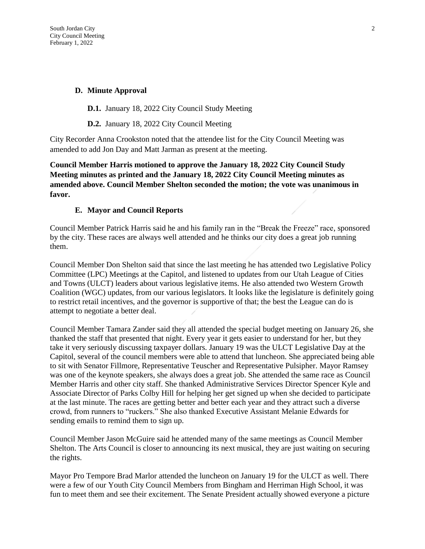### **D. Minute Approval**

**D.1.** January 18, 2022 City Council Study Meeting

**D.2.** January 18, 2022 City Council Meeting

City Recorder Anna Crookston noted that the attendee list for the City Council Meeting was amended to add Jon Day and Matt Jarman as present at the meeting.

**Council Member Harris motioned to approve the January 18, 2022 City Council Study Meeting minutes as printed and the January 18, 2022 City Council Meeting minutes as amended above. Council Member Shelton seconded the motion; the vote was unanimous in favor.**

#### **E. Mayor and Council Reports**

Council Member Patrick Harris said he and his family ran in the "Break the Freeze" race, sponsored by the city. These races are always well attended and he thinks our city does a great job running them.

Council Member Don Shelton said that since the last meeting he has attended two Legislative Policy Committee (LPC) Meetings at the Capitol, and listened to updates from our Utah League of Cities and Towns (ULCT) leaders about various legislative items. He also attended two Western Growth Coalition (WGC) updates, from our various legislators. It looks like the legislature is definitely going to restrict retail incentives, and the governor is supportive of that; the best the League can do is attempt to negotiate a better deal.

Council Member Tamara Zander said they all attended the special budget meeting on January 26, she thanked the staff that presented that night. Every year it gets easier to understand for her, but they take it very seriously discussing taxpayer dollars. January 19 was the ULCT Legislative Day at the Capitol, several of the council members were able to attend that luncheon. She appreciated being able to sit with Senator Fillmore, Representative Teuscher and Representative Pulsipher. Mayor Ramsey was one of the keynote speakers, she always does a great job. She attended the same race as Council Member Harris and other city staff. She thanked Administrative Services Director Spencer Kyle and Associate Director of Parks Colby Hill for helping her get signed up when she decided to participate at the last minute. The races are getting better and better each year and they attract such a diverse crowd, from runners to "ruckers." She also thanked Executive Assistant Melanie Edwards for sending emails to remind them to sign up.

Council Member Jason McGuire said he attended many of the same meetings as Council Member Shelton. The Arts Council is closer to announcing its next musical, they are just waiting on securing the rights.

Mayor Pro Tempore Brad Marlor attended the luncheon on January 19 for the ULCT as well. There were a few of our Youth City Council Members from Bingham and Herriman High School, it was fun to meet them and see their excitement. The Senate President actually showed everyone a picture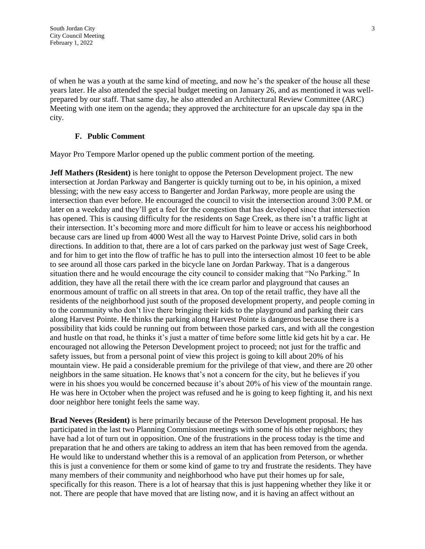of when he was a youth at the same kind of meeting, and now he's the speaker of the house all these years later. He also attended the special budget meeting on January 26, and as mentioned it was wellprepared by our staff. That same day, he also attended an Architectural Review Committee (ARC) Meeting with one item on the agenda; they approved the architecture for an upscale day spa in the city.

#### **F. Public Comment**

Mayor Pro Tempore Marlor opened up the public comment portion of the meeting.

**Jeff Mathers (Resident)** is here tonight to oppose the Peterson Development project. The new intersection at Jordan Parkway and Bangerter is quickly turning out to be, in his opinion, a mixed blessing; with the new easy access to Bangerter and Jordan Parkway, more people are using the intersection than ever before. He encouraged the council to visit the intersection around 3:00 P.M. or later on a weekday and they'll get a feel for the congestion that has developed since that intersection has opened. This is causing difficulty for the residents on Sage Creek, as there isn't a traffic light at their intersection. It's becoming more and more difficult for him to leave or access his neighborhood because cars are lined up from 4000 West all the way to Harvest Pointe Drive, solid cars in both directions. In addition to that, there are a lot of cars parked on the parkway just west of Sage Creek, and for him to get into the flow of traffic he has to pull into the intersection almost 10 feet to be able to see around all those cars parked in the bicycle lane on Jordan Parkway. That is a dangerous situation there and he would encourage the city council to consider making that "No Parking." In addition, they have all the retail there with the ice cream parlor and playground that causes an enormous amount of traffic on all streets in that area. On top of the retail traffic, they have all the residents of the neighborhood just south of the proposed development property, and people coming in to the community who don't live there bringing their kids to the playground and parking their cars along Harvest Pointe. He thinks the parking along Harvest Pointe is dangerous because there is a possibility that kids could be running out from between those parked cars, and with all the congestion and hustle on that road, he thinks it's just a matter of time before some little kid gets hit by a car. He encouraged not allowing the Peterson Development project to proceed; not just for the traffic and safety issues, but from a personal point of view this project is going to kill about 20% of his mountain view. He paid a considerable premium for the privilege of that view, and there are 20 other neighbors in the same situation. He knows that's not a concern for the city, but he believes if you were in his shoes you would be concerned because it's about 20% of his view of the mountain range. He was here in October when the project was refused and he is going to keep fighting it, and his next door neighbor here tonight feels the same way.

**Brad Neeves (Resident)** is here primarily because of the Peterson Development proposal. He has participated in the last two Planning Commission meetings with some of his other neighbors; they have had a lot of turn out in opposition. One of the frustrations in the process today is the time and preparation that he and others are taking to address an item that has been removed from the agenda. He would like to understand whether this is a removal of an application from Peterson, or whether this is just a convenience for them or some kind of game to try and frustrate the residents. They have many members of their community and neighborhood who have put their homes up for sale, specifically for this reason. There is a lot of hearsay that this is just happening whether they like it or not. There are people that have moved that are listing now, and it is having an affect without an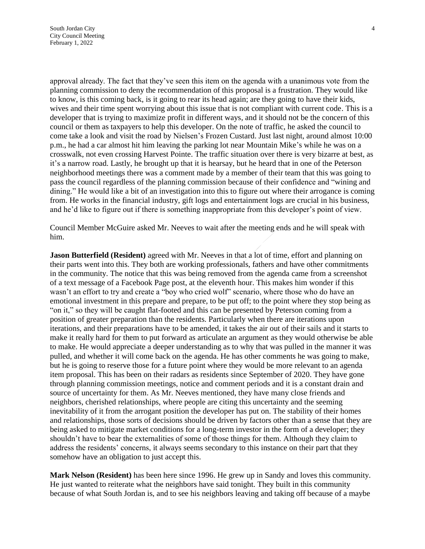approval already. The fact that they've seen this item on the agenda with a unanimous vote from the planning commission to deny the recommendation of this proposal is a frustration. They would like to know, is this coming back, is it going to rear its head again; are they going to have their kids, wives and their time spent worrying about this issue that is not compliant with current code. This is a developer that is trying to maximize profit in different ways, and it should not be the concern of this council or them as taxpayers to help this developer. On the note of traffic, he asked the council to come take a look and visit the road by Nielsen's Frozen Custard. Just last night, around almost 10:00 p.m., he had a car almost hit him leaving the parking lot near Mountain Mike's while he was on a crosswalk, not even crossing Harvest Pointe. The traffic situation over there is very bizarre at best, as it's a narrow road. Lastly, he brought up that it is hearsay, but he heard that in one of the Peterson neighborhood meetings there was a comment made by a member of their team that this was going to pass the council regardless of the planning commission because of their confidence and "wining and dining." He would like a bit of an investigation into this to figure out where their arrogance is coming from. He works in the financial industry, gift logs and entertainment logs are crucial in his business, and he'd like to figure out if there is something inappropriate from this developer's point of view.

Council Member McGuire asked Mr. Neeves to wait after the meeting ends and he will speak with him.

**Jason Butterfield (Resident)** agreed with Mr. Neeves in that a lot of time, effort and planning on their parts went into this. They both are working professionals, fathers and have other commitments in the community. The notice that this was being removed from the agenda came from a screenshot of a text message of a Facebook Page post, at the eleventh hour. This makes him wonder if this wasn't an effort to try and create a "boy who cried wolf" scenario, where those who do have an emotional investment in this prepare and prepare, to be put off; to the point where they stop being as "on it," so they will be caught flat-footed and this can be presented by Peterson coming from a position of greater preparation than the residents. Particularly when there are iterations upon iterations, and their preparations have to be amended, it takes the air out of their sails and it starts to make it really hard for them to put forward as articulate an argument as they would otherwise be able to make. He would appreciate a deeper understanding as to why that was pulled in the manner it was pulled, and whether it will come back on the agenda. He has other comments he was going to make, but he is going to reserve those for a future point where they would be more relevant to an agenda item proposal. This has been on their radars as residents since September of 2020. They have gone through planning commission meetings, notice and comment periods and it is a constant drain and source of uncertainty for them. As Mr. Neeves mentioned, they have many close friends and neighbors, cherished relationships, where people are citing this uncertainty and the seeming inevitability of it from the arrogant position the developer has put on. The stability of their homes and relationships, those sorts of decisions should be driven by factors other than a sense that they are being asked to mitigate market conditions for a long-term investor in the form of a developer; they shouldn't have to bear the externalities of some of those things for them. Although they claim to address the residents' concerns, it always seems secondary to this instance on their part that they somehow have an obligation to just accept this.

**Mark Nelson (Resident)** has been here since 1996. He grew up in Sandy and loves this community. He just wanted to reiterate what the neighbors have said tonight. They built in this community because of what South Jordan is, and to see his neighbors leaving and taking off because of a maybe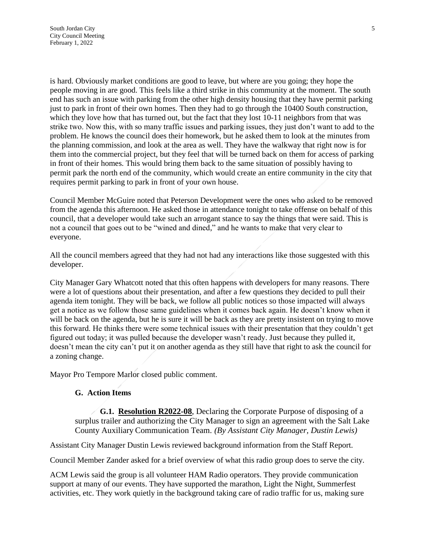is hard. Obviously market conditions are good to leave, but where are you going; they hope the people moving in are good. This feels like a third strike in this community at the moment. The south end has such an issue with parking from the other high density housing that they have permit parking just to park in front of their own homes. Then they had to go through the 10400 South construction, which they love how that has turned out, but the fact that they lost 10-11 neighbors from that was strike two. Now this, with so many traffic issues and parking issues, they just don't want to add to the problem. He knows the council does their homework, but he asked them to look at the minutes from the planning commission, and look at the area as well. They have the walkway that right now is for them into the commercial project, but they feel that will be turned back on them for access of parking in front of their homes. This would bring them back to the same situation of possibly having to permit park the north end of the community, which would create an entire community in the city that requires permit parking to park in front of your own house.

Council Member McGuire noted that Peterson Development were the ones who asked to be removed from the agenda this afternoon. He asked those in attendance tonight to take offense on behalf of this council, that a developer would take such an arrogant stance to say the things that were said. This is not a council that goes out to be "wined and dined," and he wants to make that very clear to everyone.

All the council members agreed that they had not had any interactions like those suggested with this developer.

City Manager Gary Whatcott noted that this often happens with developers for many reasons. There were a lot of questions about their presentation, and after a few questions they decided to pull their agenda item tonight. They will be back, we follow all public notices so those impacted will always get a notice as we follow those same guidelines when it comes back again. He doesn't know when it will be back on the agenda, but he is sure it will be back as they are pretty insistent on trying to move this forward. He thinks there were some technical issues with their presentation that they couldn't get figured out today; it was pulled because the developer wasn't ready. Just because they pulled it, doesn't mean the city can't put it on another agenda as they still have that right to ask the council for a zoning change.

Mayor Pro Tempore Marlor closed public comment.

#### **G. Action Items**

**G.1. Resolution R2022-08**, Declaring the Corporate Purpose of disposing of a surplus trailer and authorizing the City Manager to sign an agreement with the Salt Lake County Auxiliary Communication Team. *(By Assistant City Manager, Dustin Lewis)*

Assistant City Manager Dustin Lewis reviewed background information from the Staff Report.

Council Member Zander asked for a brief overview of what this radio group does to serve the city.

ACM Lewis said the group is all volunteer HAM Radio operators. They provide communication support at many of our events. They have supported the marathon, Light the Night, Summerfest activities, etc. They work quietly in the background taking care of radio traffic for us, making sure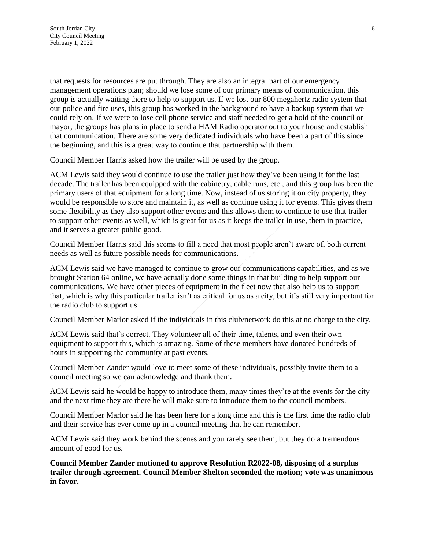that requests for resources are put through. They are also an integral part of our emergency management operations plan; should we lose some of our primary means of communication, this group is actually waiting there to help to support us. If we lost our 800 megahertz radio system that our police and fire uses, this group has worked in the background to have a backup system that we could rely on. If we were to lose cell phone service and staff needed to get a hold of the council or mayor, the groups has plans in place to send a HAM Radio operator out to your house and establish that communication. There are some very dedicated individuals who have been a part of this since the beginning, and this is a great way to continue that partnership with them.

Council Member Harris asked how the trailer will be used by the group.

ACM Lewis said they would continue to use the trailer just how they've been using it for the last decade. The trailer has been equipped with the cabinetry, cable runs, etc., and this group has been the primary users of that equipment for a long time. Now, instead of us storing it on city property, they would be responsible to store and maintain it, as well as continue using it for events. This gives them some flexibility as they also support other events and this allows them to continue to use that trailer to support other events as well, which is great for us as it keeps the trailer in use, them in practice, and it serves a greater public good.

Council Member Harris said this seems to fill a need that most people aren't aware of, both current needs as well as future possible needs for communications.

ACM Lewis said we have managed to continue to grow our communications capabilities, and as we brought Station 64 online, we have actually done some things in that building to help support our communications. We have other pieces of equipment in the fleet now that also help us to support that, which is why this particular trailer isn't as critical for us as a city, but it's still very important for the radio club to support us.

Council Member Marlor asked if the individuals in this club/network do this at no charge to the city.

ACM Lewis said that's correct. They volunteer all of their time, talents, and even their own equipment to support this, which is amazing. Some of these members have donated hundreds of hours in supporting the community at past events.

Council Member Zander would love to meet some of these individuals, possibly invite them to a council meeting so we can acknowledge and thank them.

ACM Lewis said he would be happy to introduce them, many times they're at the events for the city and the next time they are there he will make sure to introduce them to the council members.

Council Member Marlor said he has been here for a long time and this is the first time the radio club and their service has ever come up in a council meeting that he can remember.

ACM Lewis said they work behind the scenes and you rarely see them, but they do a tremendous amount of good for us.

**Council Member Zander motioned to approve Resolution R2022-08, disposing of a surplus trailer through agreement. Council Member Shelton seconded the motion; vote was unanimous in favor.**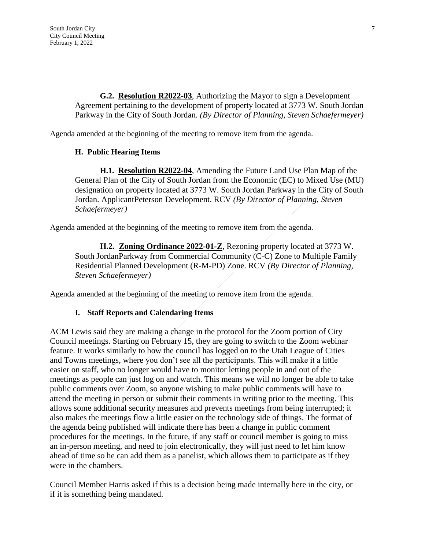**G.2. Resolution R2022-03**, Authorizing the Mayor to sign a Development Agreement pertaining to the development of property located at 3773 W. South Jordan Parkway in the City of South Jordan. *(By Director of Planning, Steven Schaefermeyer)*

Agenda amended at the beginning of the meeting to remove item from the agenda.

# **H. Public Hearing Items**

**H.1. Resolution R2022-04**, Amending the Future Land Use Plan Map of the General Plan of the City of South Jordan from the Economic (EC) to Mixed Use (MU) designation on property located at 3773 W. South Jordan Parkway in the City of South Jordan. ApplicantPeterson Development. RCV *(By Director of Planning, Steven Schaefermeyer)*

Agenda amended at the beginning of the meeting to remove item from the agenda.

**H.2. Zoning Ordinance 2022-01-Z**, Rezoning property located at 3773 W. South JordanParkway from Commercial Community (C-C) Zone to Multiple Family Residential Planned Development (R-M-PD) Zone. RCV *(By Director of Planning, Steven Schaefermeyer)*

Agenda amended at the beginning of the meeting to remove item from the agenda.

# **I. Staff Reports and Calendaring Items**

ACM Lewis said they are making a change in the protocol for the Zoom portion of City Council meetings. Starting on February 15, they are going to switch to the Zoom webinar feature. It works similarly to how the council has logged on to the Utah League of Cities and Towns meetings, where you don't see all the participants. This will make it a little easier on staff, who no longer would have to monitor letting people in and out of the meetings as people can just log on and watch. This means we will no longer be able to take public comments over Zoom, so anyone wishing to make public comments will have to attend the meeting in person or submit their comments in writing prior to the meeting. This allows some additional security measures and prevents meetings from being interrupted; it also makes the meetings flow a little easier on the technology side of things. The format of the agenda being published will indicate there has been a change in public comment procedures for the meetings. In the future, if any staff or council member is going to miss an in-person meeting, and need to join electronically, they will just need to let him know ahead of time so he can add them as a panelist, which allows them to participate as if they were in the chambers.

Council Member Harris asked if this is a decision being made internally here in the city, or if it is something being mandated.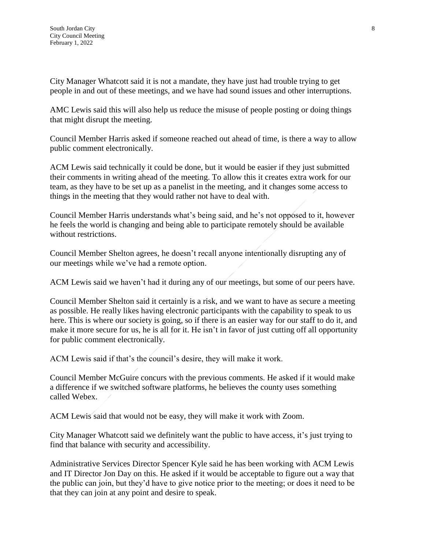City Manager Whatcott said it is not a mandate, they have just had trouble trying to get people in and out of these meetings, and we have had sound issues and other interruptions.

AMC Lewis said this will also help us reduce the misuse of people posting or doing things that might disrupt the meeting.

Council Member Harris asked if someone reached out ahead of time, is there a way to allow public comment electronically.

ACM Lewis said technically it could be done, but it would be easier if they just submitted their comments in writing ahead of the meeting. To allow this it creates extra work for our team, as they have to be set up as a panelist in the meeting, and it changes some access to things in the meeting that they would rather not have to deal with.

Council Member Harris understands what's being said, and he's not opposed to it, however he feels the world is changing and being able to participate remotely should be available without restrictions.

Council Member Shelton agrees, he doesn't recall anyone intentionally disrupting any of our meetings while we've had a remote option.

ACM Lewis said we haven't had it during any of our meetings, but some of our peers have.

Council Member Shelton said it certainly is a risk, and we want to have as secure a meeting as possible. He really likes having electronic participants with the capability to speak to us here. This is where our society is going, so if there is an easier way for our staff to do it, and make it more secure for us, he is all for it. He isn't in favor of just cutting off all opportunity for public comment electronically.

ACM Lewis said if that's the council's desire, they will make it work.

Council Member McGuire concurs with the previous comments. He asked if it would make a difference if we switched software platforms, he believes the county uses something called Webex.

ACM Lewis said that would not be easy, they will make it work with Zoom.

City Manager Whatcott said we definitely want the public to have access, it's just trying to find that balance with security and accessibility.

Administrative Services Director Spencer Kyle said he has been working with ACM Lewis and IT Director Jon Day on this. He asked if it would be acceptable to figure out a way that the public can join, but they'd have to give notice prior to the meeting; or does it need to be that they can join at any point and desire to speak.